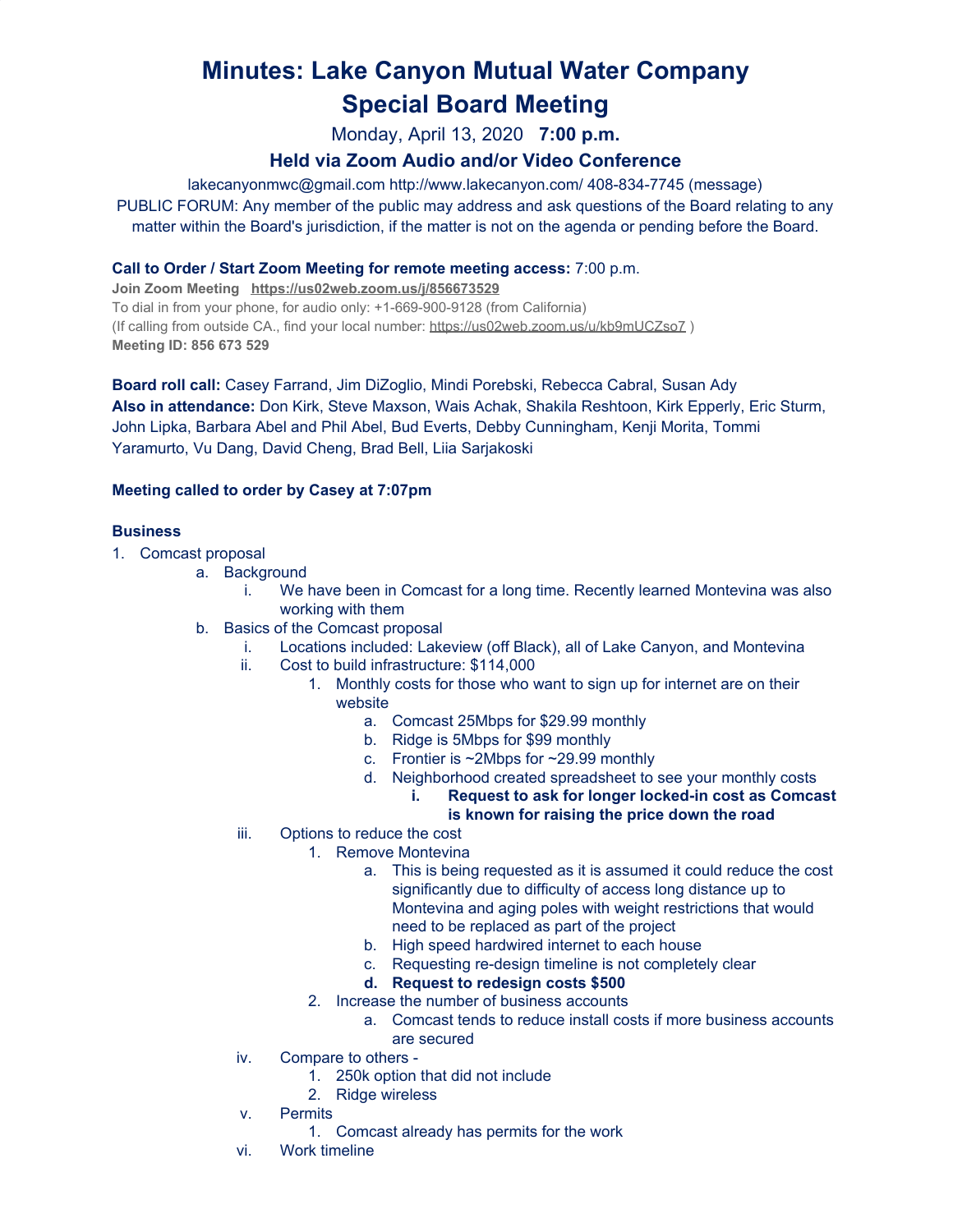# **Minutes: Lake Canyon Mutual Water Company Special Board Meeting**

Monday, April 13, 2020 **7:00 p.m.**

# **Held via Zoom Audio and/or Video Conference**

lakecanyonmwc@gmail.com http://www.lakecanyon.com/ 408-834-7745 (message) PUBLIC FORUM: Any member of the public may address and ask questions of the Board relating to any matter within the Board's jurisdiction, if the matter is not on the agenda or pending before the Board.

## **Call to Order / Start Zoom Meeting for remote meeting access:** 7:00 p.m.

**Join Zoom Meeting <https://us02web.zoom.us/j/856673529>** To dial in from your phone, for audio only: +1-669-900-9128 (from California) (If calling from outside CA., find your local number: <https://us02web.zoom.us/u/kb9mUCZso7>) **Meeting ID: 856 673 529**

**Board roll call:** Casey Farrand, Jim DiZoglio, Mindi Porebski, Rebecca Cabral, Susan Ady **Also in attendance:** Don Kirk, Steve Maxson, Wais Achak, Shakila Reshtoon, Kirk Epperly, Eric Sturm, John Lipka, Barbara Abel and Phil Abel, Bud Everts, Debby Cunningham, Kenji Morita, Tommi Yaramurto, Vu Dang, David Cheng, Brad Bell, Liia Sarjakoski

### **Meeting called to order by Casey at 7:07pm**

### **Business**

- 1. Comcast proposal
	- a. Background
		- i. We have been in Comcast for a long time. Recently learned Montevina was also working with them
	- b. Basics of the Comcast proposal
		- i. Locations included: Lakeview (off Black), all of Lake Canyon, and Montevina
		- ii. Cost to build infrastructure: \$114,000
			- 1. Monthly costs for those who want to sign up for internet are on their website
				- a. Comcast 25Mbps for \$29.99 monthly
				- b. Ridge is 5Mbps for \$99 monthly
				- c. Frontier is ~2Mbps for ~29.99 monthly
				- d. Neighborhood created spreadsheet to see your monthly costs
					- **i. Request to ask for longer locked-in cost as Comcast is known for raising the price down the road**
		- iii. Options to reduce the cost
			- 1. Remove Montevina
				- a. This is being requested as it is assumed it could reduce the cost significantly due to difficulty of access long distance up to Montevina and aging poles with weight restrictions that would need to be replaced as part of the project
				- b. High speed hardwired internet to each house
				- c. Requesting re-design timeline is not completely clear

#### **d. Request to redesign costs \$500**

- 2. Increase the number of business accounts
	- a. Comcast tends to reduce install costs if more business accounts are secured
- iv. Compare to others
	- 1. 250k option that did not include
	- 2. Ridge wireless
- v. Permits
	- 1. Comcast already has permits for the work
- vi. Work timeline